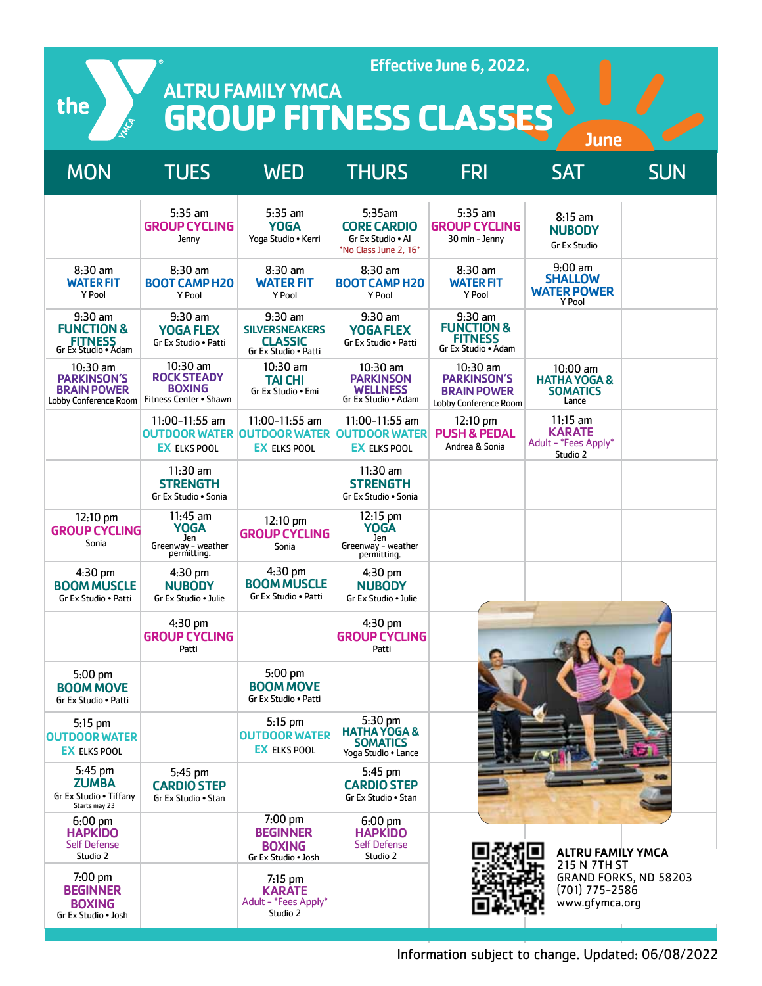the

Effective June 6, 2022.

ALTRU FAMILY YMCA **GROUP FITNESS CLASSES** 

| <b>MON</b>                                                                      | <b>TUES</b>                                                               | <b>WED</b>                                                                   | <b>THURS</b>                                                                              | <b>FRI</b>                                                                      | <b>SAT</b>                                                        | <b>SUN</b>            |
|---------------------------------------------------------------------------------|---------------------------------------------------------------------------|------------------------------------------------------------------------------|-------------------------------------------------------------------------------------------|---------------------------------------------------------------------------------|-------------------------------------------------------------------|-----------------------|
|                                                                                 | $5:35$ am<br><b>GROUP CYCLING</b><br>Jenny                                | $5:35$ am<br><b>YOGA</b><br>Yoga Studio • Kerri                              | 5:35am<br><b>CORE CARDIO</b><br>Gr Ex Studio . Al<br>*No Class June 2, 16*                | $5:35$ am<br><b>GROUP CYCLING</b><br>30 min - Jenny                             | 8:15 am<br><b>NUBODY</b><br><b>Gr Ex Studio</b>                   |                       |
| $8:30$ am<br><b>WATER FIT</b><br>Y Pool                                         | $8:30$ am<br><b>BOOT CAMP H20</b><br>Y Pool                               | $8:30$ am<br><b>WATER FIT</b><br>Y Pool                                      | $8:30$ am<br><b>BOOT CAMP H20</b><br>Y Pool                                               | $8:30$ am<br><b>WATER FIT</b><br>Y Pool                                         | $9:00$ am<br><b>SHALLOW</b><br><b>WATER POWER</b><br>Y Pool       |                       |
| $9:30$ am<br><b>FUNCTION &amp;</b><br><b>FITNESS</b><br>Gr Ex Studio • Adam     | $9:30$ am<br><b>YOGA FLEX</b><br>Gr Ex Studio . Patti                     | $9:30$ am<br><b>SILVERSNEAKERS</b><br><b>CLASSIC</b><br>Gr Ex Studio . Patti | $9:30$ am<br><b>YOGA FLEX</b><br>Gr Ex Studio . Patti                                     | $9:30$ am<br><b>FUNCTION &amp;</b><br><b>FITNESS</b><br>Gr Ex Studio . Adam     |                                                                   |                       |
| $10:30$ am<br><b>PARKINSON'S</b><br><b>BRAIN POWER</b><br>Lobby Conference Room | 10:30 am<br><b>ROCK STEADY</b><br><b>BOXING</b><br>Fitness Center . Shawn | $10:30$ am<br><b>TAI CHI</b><br>Gr Ex Studio . Emi                           | $10:30$ am<br><b>PARKINSON</b><br><b>WELLNESS</b><br>Gr Ex Studio . Adam                  | $10:30$ am<br><b>PARKINSON'S</b><br><b>BRAIN POWER</b><br>Lobby Conference Room | $10:00$ am<br><b>HATHA YOGA &amp;</b><br><b>SOMATICS</b><br>Lance |                       |
|                                                                                 | 11:00-11:55 am<br><b>EX ELKS POOL</b>                                     | $11:00-11:55$ am<br><b>EX ELKS POOL</b>                                      | 11:00-11:55 am<br><b>OUTDOOR WATER OUTDOOR WATER OUTDOOR WATER</b><br><b>EX ELKS POOL</b> | 12:10 pm<br><b>PUSH &amp; PEDAL</b><br>Andrea & Sonia                           | $11:15$ am<br><b>KARATE</b><br>Adult - *Fees Apply*<br>Studio 2   |                       |
|                                                                                 | $11:30$ am<br><b>STRENGTH</b><br>Gr Ex Studio . Sonia                     |                                                                              | $11:30$ am<br><b>STRENGTH</b><br>Gr Ex Studio . Sonia                                     |                                                                                 |                                                                   |                       |
| 12:10 pm<br><b>GROUP CYCLING</b><br>Sonia                                       | $11:45$ am<br><b>YOGA</b><br>Jen<br>Greenway - weather<br>permitting.     | 12:10 pm<br><b>GROUP CYCLING</b><br>Sonia                                    | 12:15 pm<br><b>YOGA</b><br>Jen<br>Greenway - weather<br>permitting.                       |                                                                                 |                                                                   |                       |
| $4:30$ pm<br><b>BOOM MUSCLE</b><br>Gr Ex Studio . Patti                         | $4:30 \text{ pm}$<br><b>NUBODY</b><br>Gr Ex Studio . Julie                | $4:30$ pm<br><b>BOOM MUSCLE</b><br>Gr Ex Studio . Patti                      | $4:30$ pm<br><b>NUBODY</b><br>Gr Ex Studio . Julie                                        |                                                                                 |                                                                   |                       |
|                                                                                 | 4:30 pm<br><b>GROUP CYCLING</b><br>Patti                                  |                                                                              | 4:30 pm<br><b>GROUP CYCLING</b><br>Patti                                                  |                                                                                 |                                                                   |                       |
| 5:00 pm<br><b>BOOM MOVE</b><br>Gr Ex Studio • Patti                             |                                                                           | 5:00 pm<br><b>BOOM MOVE</b><br>Gr Ex Studio . Patti                          |                                                                                           |                                                                                 |                                                                   |                       |
| 5:15 pm<br><b>OUTDOOR WATER</b><br><b>EX ELKS POOL</b>                          |                                                                           | 5:15 pm<br><b>OUTDOOR WATER</b><br><b>EX ELKS POOL</b>                       | 5:30 pm<br><b>HATHA YOGA &amp;</b><br>SOMATICS<br>Yoga Studio . Lance                     |                                                                                 |                                                                   |                       |
| 5:45 pm<br><b>ZUMBA</b><br>Gr Ex Studio . Tiffany<br>Starts may 23              | 5:45 pm<br><b>CARDIO STEP</b><br>Gr Ex Studio . Stan                      |                                                                              | 5:45 pm<br><b>CARDIO STEP</b><br>Gr Ex Studio . Stan                                      |                                                                                 |                                                                   |                       |
| $6:00 \text{ pm}$<br><b>HAPKIDO</b><br><b>Self Defense</b><br>Studio 2          |                                                                           | 7:00 pm<br><b>BEGINNER</b><br><b>BOXING</b><br>Gr Ex Studio . Josh           | $6:00 \text{ pm}$<br><b>HAPKIDO</b><br><b>Self Defense</b><br>Studio 2                    |                                                                                 | <b>ALTRU FAMILY YMCA</b>                                          |                       |
| 7:00 pm<br><b>BEGINNER</b><br><b>BOXING</b><br>Gr Ex Studio . Josh              |                                                                           | $7:15$ pm<br><b>KARATE</b><br>Adult - *Fees Apply*<br>Studio 2               |                                                                                           |                                                                                 | 215 N 7TH ST<br>$(701)$ 775-2586<br>www.gfymca.org                | GRAND FORKS, ND 58203 |